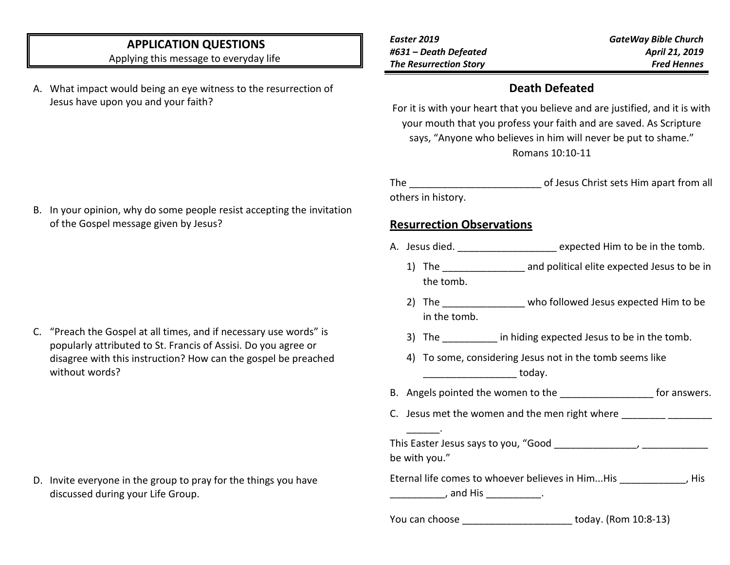# **APPLICATION QUESTIONS**

Applying this message to everyday life

- A. What impact would being an eye witness to the resurrection of Jesus have upon you and your faith?
- *Easter 2019 #631 – Death Defeated The Resurrection Story*

*GateWay Bible Church April 21, 2019 Fred Hennes*

#### **Death Defeated**

For it is with your heart that you believe and are justified, and it is with your mouth that you profess your faith and are saved. As Scripture says, "Anyone who believes in him will never be put to shame." Romans 10:10-11

The all the contract of Jesus Christ sets Him apart from all others in history.

## **Resurrection Observations**

\_\_\_\_\_\_.

- A. Jesus died.  $\qquad \qquad$  expected Him to be in the tomb.
	- 1) The \_\_\_\_\_\_\_\_\_\_\_\_\_\_\_ and political elite expected Jesus to be in the tomb.
	- 2) The \_\_\_\_\_\_\_\_\_\_\_\_\_\_\_\_ who followed Jesus expected Him to be in the tomb.
	- 3) The \_\_\_\_\_\_\_\_\_\_\_ in hiding expected Jesus to be in the tomb.
	- 4) To some, considering Jesus not in the tomb seems like \_\_\_\_\_\_\_\_\_\_\_\_\_\_\_\_\_ today.
- B. Angels pointed the women to the example of the state of the state of the state of the state of the state of the state of the state of the state of the state of the state of the state of the state of the state of the sta
- C. Jesus met the women and the men right where \_\_\_\_\_\_\_\_\_\_\_\_\_\_\_\_\_\_\_\_\_\_\_\_\_\_\_\_\_\_\_\_\_

| This Easter Jesus says to you, "Good |  |
|--------------------------------------|--|
| be with you."                        |  |

| Eternal life comes to whoever believes in HimHis | His |
|--------------------------------------------------|-----|
| , and His                                        |     |

You can choose today. (Rom 10:8-13)

B. In your opinion, why do some people resist accepting the invitation of the Gospel message given by Jesus?

C. "Preach the Gospel at all times, and if necessary use words" is popularly attributed to St. Francis of Assisi. Do you agree or disagree with this instruction? How can the gospel be preached without words?

D. Invite everyone in the group to pray for the things you have discussed during your Life Group.